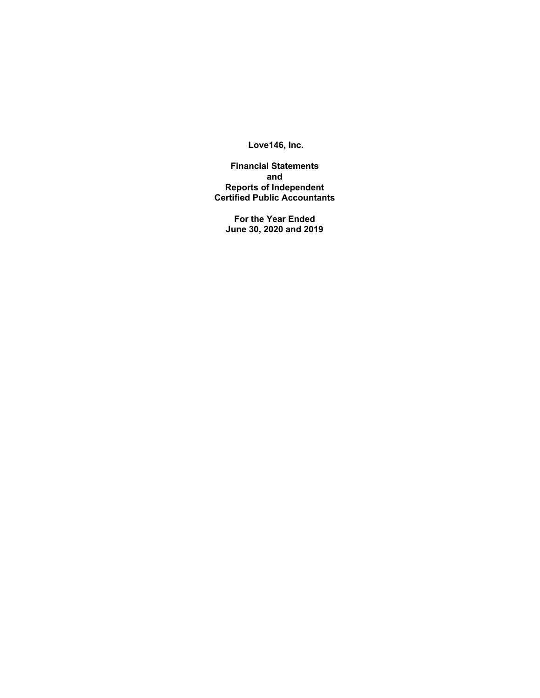**Love146, Inc.** 

 **Financial Statements and Reports of Independent Certified Public Accountants**

> **For the Year Ended June 30, 2020 and 2019**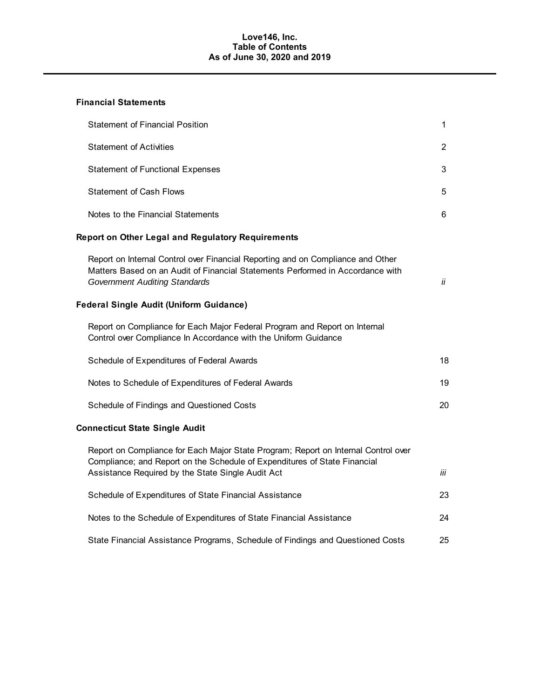### **Love146, Inc. Table of Contents As of June 30, 2020 and 2019**

# **Financial Statements**

| <b>Statement of Financial Position</b>                                                                                                                                                                    | 1   |
|-----------------------------------------------------------------------------------------------------------------------------------------------------------------------------------------------------------|-----|
| <b>Statement of Activities</b>                                                                                                                                                                            | 2   |
| <b>Statement of Functional Expenses</b>                                                                                                                                                                   | 3   |
| <b>Statement of Cash Flows</b>                                                                                                                                                                            | 5   |
| Notes to the Financial Statements                                                                                                                                                                         | 6   |
| <b>Report on Other Legal and Regulatory Requirements</b>                                                                                                                                                  |     |
| Report on Internal Control over Financial Reporting and on Compliance and Other<br>Matters Based on an Audit of Financial Statements Performed in Accordance with<br><b>Government Auditing Standards</b> | ii  |
| <b>Federal Single Audit (Uniform Guidance)</b>                                                                                                                                                            |     |
| Report on Compliance for Each Major Federal Program and Report on Internal<br>Control over Compliance In Accordance with the Uniform Guidance                                                             |     |
| Schedule of Expenditures of Federal Awards                                                                                                                                                                | 18  |
| Notes to Schedule of Expenditures of Federal Awards                                                                                                                                                       | 19  |
| Schedule of Findings and Questioned Costs                                                                                                                                                                 | 20  |
| <b>Connecticut State Single Audit</b>                                                                                                                                                                     |     |
| Report on Compliance for Each Major State Program; Report on Internal Control over<br>Compliance; and Report on the Schedule of Expenditures of State Financial                                           | iii |
| Assistance Required by the State Single Audit Act                                                                                                                                                         |     |
| Schedule of Expenditures of State Financial Assistance                                                                                                                                                    | 23  |
| Notes to the Schedule of Expenditures of State Financial Assistance                                                                                                                                       | 24  |
| State Financial Assistance Programs, Schedule of Findings and Questioned Costs                                                                                                                            | 25  |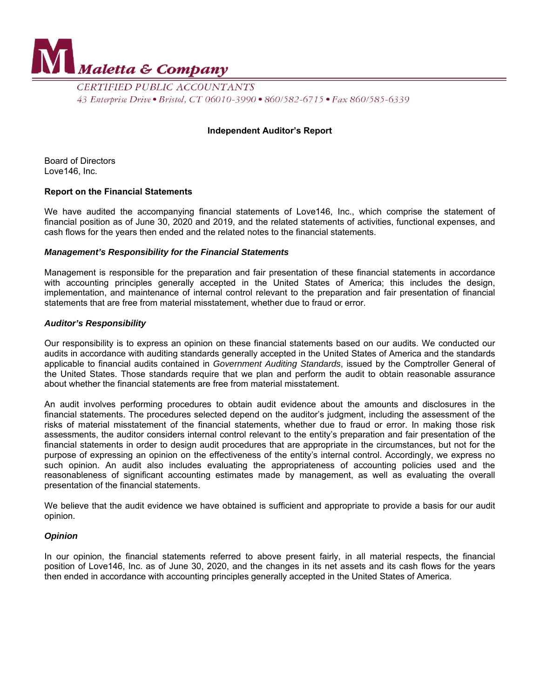

**CERTIFIED PUBLIC ACCOUNTANTS** 43 Enterprise Drive · Bristol, CT 06010-3990 · 860/582-6715 · Fax 860/585-6339

#### **Independent Auditor's Report**

Board of Directors Love146, Inc.

## **Report on the Financial Statements**

We have audited the accompanying financial statements of Love146, Inc., which comprise the statement of financial position as of June 30, 2020 and 2019, and the related statements of activities, functional expenses, and cash flows for the years then ended and the related notes to the financial statements.

#### *Management's Responsibility for the Financial Statements*

Management is responsible for the preparation and fair presentation of these financial statements in accordance with accounting principles generally accepted in the United States of America; this includes the design, implementation, and maintenance of internal control relevant to the preparation and fair presentation of financial statements that are free from material misstatement, whether due to fraud or error.

#### *Auditor's Responsibility*

Our responsibility is to express an opinion on these financial statements based on our audits. We conducted our audits in accordance with auditing standards generally accepted in the United States of America and the standards applicable to financial audits contained in *Government Auditing Standards*, issued by the Comptroller General of the United States. Those standards require that we plan and perform the audit to obtain reasonable assurance about whether the financial statements are free from material misstatement.

An audit involves performing procedures to obtain audit evidence about the amounts and disclosures in the financial statements. The procedures selected depend on the auditor's judgment, including the assessment of the risks of material misstatement of the financial statements, whether due to fraud or error. In making those risk assessments, the auditor considers internal control relevant to the entity's preparation and fair presentation of the financial statements in order to design audit procedures that are appropriate in the circumstances, but not for the purpose of expressing an opinion on the effectiveness of the entity's internal control. Accordingly, we express no such opinion. An audit also includes evaluating the appropriateness of accounting policies used and the reasonableness of significant accounting estimates made by management, as well as evaluating the overall presentation of the financial statements.

We believe that the audit evidence we have obtained is sufficient and appropriate to provide a basis for our audit opinion.

#### *Opinion*

In our opinion, the financial statements referred to above present fairly, in all material respects, the financial position of Love146, Inc. as of June 30, 2020, and the changes in its net assets and its cash flows for the years then ended in accordance with accounting principles generally accepted in the United States of America.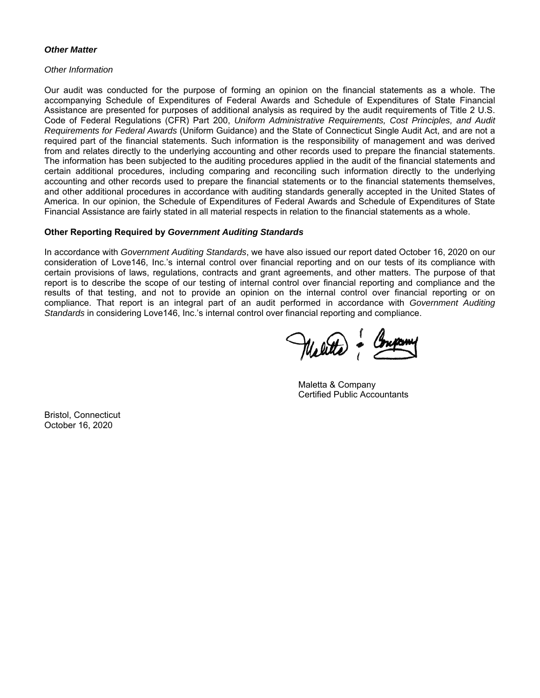#### *Other Matter*

#### *Other Information*

Our audit was conducted for the purpose of forming an opinion on the financial statements as a whole. The accompanying Schedule of Expenditures of Federal Awards and Schedule of Expenditures of State Financial Assistance are presented for purposes of additional analysis as required by the audit requirements of Title 2 U.S. Code of Federal Regulations (CFR) Part 200, *Uniform Administrative Requirements, Cost Principles, and Audit Requirements for Federal Awards* (Uniform Guidance) and the State of Connecticut Single Audit Act, and are not a required part of the financial statements. Such information is the responsibility of management and was derived from and relates directly to the underlying accounting and other records used to prepare the financial statements. The information has been subjected to the auditing procedures applied in the audit of the financial statements and certain additional procedures, including comparing and reconciling such information directly to the underlying accounting and other records used to prepare the financial statements or to the financial statements themselves, and other additional procedures in accordance with auditing standards generally accepted in the United States of America. In our opinion, the Schedule of Expenditures of Federal Awards and Schedule of Expenditures of State Financial Assistance are fairly stated in all material respects in relation to the financial statements as a whole.

#### **Other Reporting Required by** *Government Auditing Standards*

In accordance with *Government Auditing Standards*, we have also issued our report dated October 16, 2020 on our consideration of Love146, Inc.'s internal control over financial reporting and on our tests of its compliance with certain provisions of laws, regulations, contracts and grant agreements, and other matters. The purpose of that report is to describe the scope of our testing of internal control over financial reporting and compliance and the results of that testing, and not to provide an opinion on the internal control over financial reporting or on compliance. That report is an integral part of an audit performed in accordance with *Government Auditing Standards* in considering Love146, Inc.'s internal control over financial reporting and compliance.

Melitte :

Maletta & Company Certified Public Accountants

Bristol, Connecticut October 16, 2020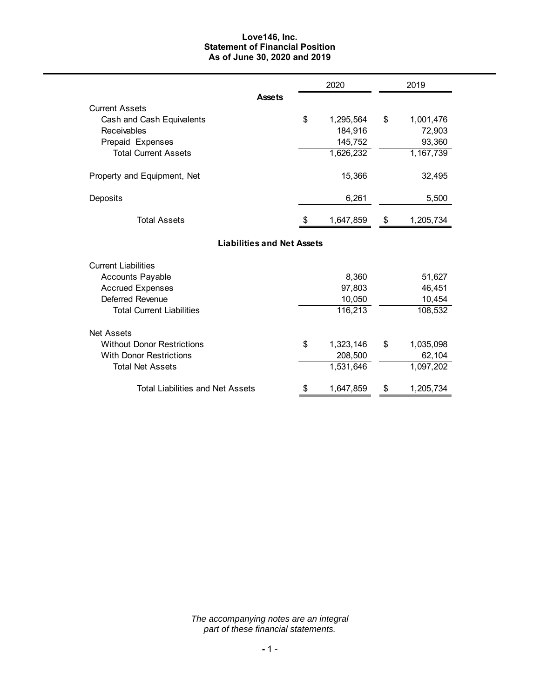### **Love146, Inc. Statement of Financial Position As of June 30, 2020 and 2019**

|                                         | 2020            |    | 2019                   |
|-----------------------------------------|-----------------|----|------------------------|
| <b>Assets</b>                           |                 |    |                        |
| <b>Current Assets</b>                   |                 |    |                        |
| Cash and Cash Equivalents               | \$<br>1,295,564 | \$ | 1,001,476              |
| Receivables                             | 184,916         |    | 72,903                 |
| Prepaid Expenses                        | 145,752         |    | 93,360                 |
| <b>Total Current Assets</b>             | 1,626,232       |    | $\overline{1,167,739}$ |
| Property and Equipment, Net             | 15,366          |    | 32,495                 |
| Deposits                                | 6,261           |    | 5,500                  |
| <b>Total Assets</b>                     | \$<br>1,647,859 | \$ | 1,205,734              |
| <b>Liabilities and Net Assets</b>       |                 |    |                        |
| <b>Current Liabilities</b>              |                 |    |                        |
| <b>Accounts Payable</b>                 | 8,360           |    | 51,627                 |
| <b>Accrued Expenses</b>                 | 97,803          |    | 46,451                 |
| <b>Deferred Revenue</b>                 | 10,050          |    | 10,454                 |
| <b>Total Current Liabilities</b>        | 116,213         |    | 108,532                |
| <b>Net Assets</b>                       |                 |    |                        |
| <b>Without Donor Restrictions</b>       | \$<br>1,323,146 | \$ | 1,035,098              |
| <b>With Donor Restrictions</b>          | 208,500         |    | 62,104                 |
| <b>Total Net Assets</b>                 | 1,531,646       |    | $\sqrt{1,097,202}$     |
| <b>Total Liabilities and Net Assets</b> | \$<br>1,647,859 | \$ | 1,205,734              |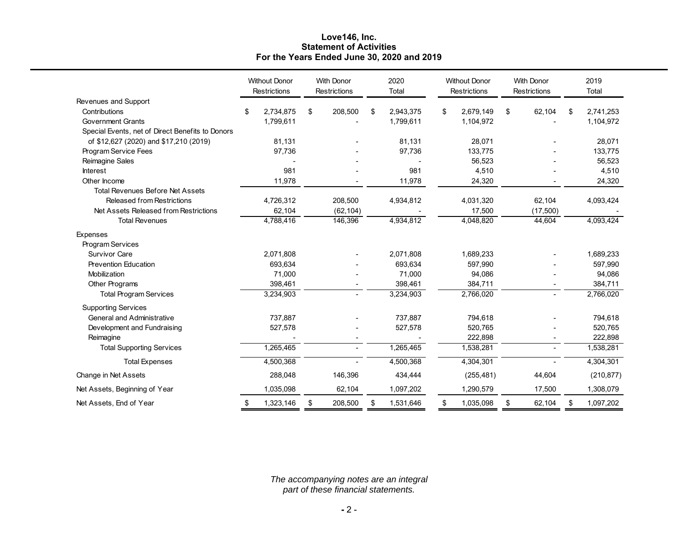#### **Love146, Inc. Statement of Activities For the Years Ended June 30, 2020 and 2019**

|                                                  | <b>Without Donor</b><br><b>Restrictions</b> |           | <b>With Donor</b><br><b>Restrictions</b> | 2020<br>Total   | <b>Without Donor</b><br><b>Restrictions</b> |            |    |          | <b>With Donor</b><br><b>Restrictions</b> |  | 2019<br>Total |
|--------------------------------------------------|---------------------------------------------|-----------|------------------------------------------|-----------------|---------------------------------------------|------------|----|----------|------------------------------------------|--|---------------|
| Revenues and Support                             |                                             |           |                                          |                 |                                             |            |    |          |                                          |  |               |
| Contributions                                    | \$                                          | 2,734,875 | \$<br>208,500                            | \$<br>2,943,375 | \$                                          | 2,679,149  | \$ | 62,104   | \$<br>2,741,253                          |  |               |
| <b>Government Grants</b>                         |                                             | 1,799,611 |                                          | 1,799,611       |                                             | 1,104,972  |    |          | 1,104,972                                |  |               |
| Special Events, net of Direct Benefits to Donors |                                             |           |                                          |                 |                                             |            |    |          |                                          |  |               |
| of \$12,627 (2020) and \$17,210 (2019)           |                                             | 81.131    |                                          | 81.131          |                                             | 28,071     |    |          | 28,071                                   |  |               |
| Program Service Fees                             |                                             | 97,736    |                                          | 97,736          |                                             | 133,775    |    |          | 133,775                                  |  |               |
| Reimagine Sales                                  |                                             |           |                                          |                 |                                             | 56,523     |    |          | 56,523                                   |  |               |
| <b>Interest</b>                                  |                                             | 981       |                                          | 981             |                                             | 4,510      |    |          | 4,510                                    |  |               |
| Other Income                                     |                                             | 11,978    |                                          | 11,978          |                                             | 24,320     |    |          | 24,320                                   |  |               |
| <b>Total Revenues Before Net Assets</b>          |                                             |           |                                          |                 |                                             |            |    |          |                                          |  |               |
| <b>Released from Restrictions</b>                |                                             | 4,726,312 | 208,500                                  | 4,934,812       |                                             | 4,031,320  |    | 62,104   | 4,093,424                                |  |               |
| Net Assets Released from Restrictions            |                                             | 62,104    | (62, 104)                                |                 |                                             | 17,500     |    | (17,500) |                                          |  |               |
| <b>Total Revenues</b>                            |                                             | 4,788,416 | 146,396                                  | 4,934,812       |                                             | 4,048,820  |    | 44,604   | 4,093,424                                |  |               |
| Expenses                                         |                                             |           |                                          |                 |                                             |            |    |          |                                          |  |               |
| Program Services                                 |                                             |           |                                          |                 |                                             |            |    |          |                                          |  |               |
| <b>Survivor Care</b>                             |                                             | 2,071,808 |                                          | 2,071,808       |                                             | 1,689,233  |    |          | 1,689,233                                |  |               |
| <b>Prevention Education</b>                      |                                             | 693,634   |                                          | 693,634         |                                             | 597,990    |    |          | 597,990                                  |  |               |
| Mobilization                                     |                                             | 71,000    |                                          | 71,000          |                                             | 94,086     |    |          | 94,086                                   |  |               |
| <b>Other Programs</b>                            |                                             | 398,461   |                                          | 398,461         |                                             | 384,711    |    |          | 384,711                                  |  |               |
| <b>Total Program Services</b>                    |                                             | 3,234,903 |                                          | 3,234,903       |                                             | 2,766,020  |    |          | 2,766,020                                |  |               |
| <b>Supporting Services</b>                       |                                             |           |                                          |                 |                                             |            |    |          |                                          |  |               |
| General and Administrative                       |                                             | 737,887   |                                          | 737,887         |                                             | 794,618    |    |          | 794,618                                  |  |               |
| Development and Fundraising                      |                                             | 527,578   |                                          | 527,578         |                                             | 520.765    |    |          | 520,765                                  |  |               |
| Reimagine                                        |                                             |           |                                          |                 |                                             | 222,898    |    |          | 222,898                                  |  |               |
| <b>Total Supporting Services</b>                 |                                             | 1,265,465 |                                          | 1,265,465       |                                             | 1,538,281  |    |          | 1,538,281                                |  |               |
| <b>Total Expenses</b>                            |                                             | 4,500,368 |                                          | 4,500,368       |                                             | 4,304,301  |    |          | 4,304,301                                |  |               |
| Change in Net Assets                             |                                             | 288,048   | 146,396                                  | 434,444         |                                             | (255, 481) |    | 44,604   | (210, 877)                               |  |               |
| Net Assets, Beginning of Year                    |                                             | 1,035,098 | 62,104                                   | 1,097,202       |                                             | 1,290,579  |    | 17,500   | 1,308,079                                |  |               |
| Net Assets, End of Year                          | \$                                          | 1,323,146 | \$<br>208,500                            | \$<br>1,531,646 | \$                                          | 1,035,098  | \$ | 62,104   | 1,097,202                                |  |               |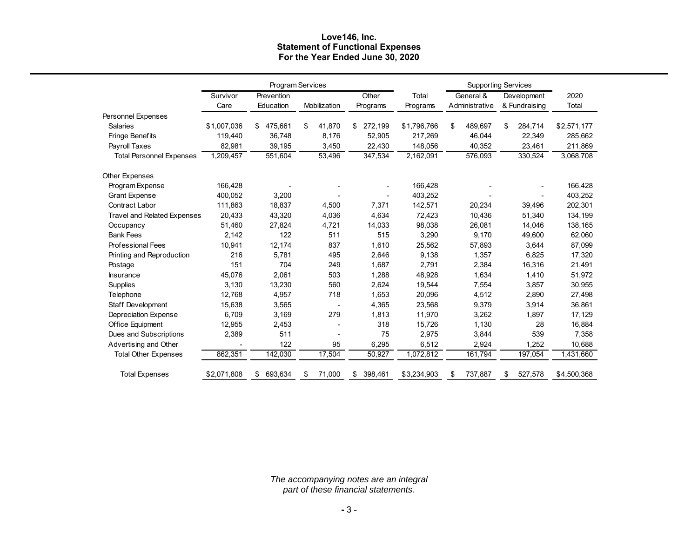#### **Love146, Inc. Statement of Functional Expenses For the Year Ended June 30, 2020**

|                                    | Program Services |               |              |               |             | <b>Supporting Services</b> |               |             |
|------------------------------------|------------------|---------------|--------------|---------------|-------------|----------------------------|---------------|-------------|
|                                    | Survivor         | Prevention    |              | Other         | Total       | General &                  | Development   | 2020        |
|                                    | Care             | Education     | Mobilization | Programs      | Programs    | Administrative             | & Fundraising | Total       |
| Personnel Expenses                 |                  |               |              |               |             |                            |               |             |
| <b>Salaries</b>                    | \$1,007,036      | 475,661<br>\$ | 41,870<br>\$ | 272,199<br>S. | \$1,796,766 | 489,697<br>\$              | 284,714<br>\$ | \$2,571,177 |
| Fringe Benefits                    | 119,440          | 36,748        | 8.176        | 52,905        | 217,269     | 46,044                     | 22,349        | 285,662     |
| Payroll Taxes                      | 82,981           | 39,195        | 3,450        | 22,430        | 148,056     | 40,352                     | 23,461        | 211,869     |
| <b>Total Personnel Expenses</b>    | 1,209,457        | 551,604       | 53,496       | 347,534       | 2,162,091   | 576,093                    | 330,524       | 3,068,708   |
| <b>Other Expenses</b>              |                  |               |              |               |             |                            |               |             |
| Program Expense                    | 166,428          |               |              |               | 166,428     |                            |               | 166,428     |
| Grant Expense                      | 400,052          | 3,200         |              |               | 403,252     |                            |               | 403,252     |
| Contract Labor                     | 111,863          | 18,837        | 4,500        | 7,371         | 142,571     | 20,234                     | 39,496        | 202,301     |
| <b>Travel and Related Expenses</b> | 20,433           | 43,320        | 4,036        | 4,634         | 72,423      | 10,436                     | 51,340        | 134,199     |
| Occupancy                          | 51,460           | 27,824        | 4,721        | 14,033        | 98,038      | 26,081                     | 14,046        | 138,165     |
| <b>Bank Fees</b>                   | 2,142            | 122           | 511          | 515           | 3,290       | 9,170                      | 49,600        | 62,060      |
| <b>Professional Fees</b>           | 10,941           | 12,174        | 837          | 1,610         | 25,562      | 57,893                     | 3,644         | 87,099      |
| Printing and Reproduction          | 216              | 5,781         | 495          | 2,646         | 9,138       | 1,357                      | 6,825         | 17,320      |
| Postage                            | 151              | 704           | 249          | 1,687         | 2,791       | 2,384                      | 16,316        | 21,491      |
| <b>Insurance</b>                   | 45,076           | 2,061         | 503          | 1,288         | 48,928      | 1,634                      | 1,410         | 51,972      |
| Supplies                           | 3,130            | 13,230        | 560          | 2,624         | 19,544      | 7,554                      | 3,857         | 30,955      |
| Telephone                          | 12,768           | 4,957         | 718          | 1,653         | 20,096      | 4,512                      | 2,890         | 27,498      |
| Staff Development                  | 15,638           | 3,565         |              | 4,365         | 23,568      | 9,379                      | 3,914         | 36,861      |
| Depreciation Expense               | 6,709            | 3,169         | 279          | 1,813         | 11,970      | 3,262                      | 1,897         | 17,129      |
| Office Equipment                   | 12,955           | 2,453         |              | 318           | 15,726      | 1,130                      | 28            | 16,884      |
| Dues and Subscriptions             | 2,389            | 511           |              | 75            | 2,975       | 3,844                      | 539           | 7,358       |
| Advertising and Other              |                  | 122           | 95           | 6,295         | 6,512       | 2,924                      | 1,252         | 10,688      |
| <b>Total Other Expenses</b>        | 862,351          | 142,030       | 17,504       | 50,927        | 1,072,812   | 161,794                    | 197,054       | 1,431,660   |
| <b>Total Expenses</b>              | \$2,071,808      | \$<br>693,634 | 71,000<br>S  | 398,461<br>\$ | \$3,234,903 | 737,887<br>\$              | 527,578<br>\$ | \$4,500,368 |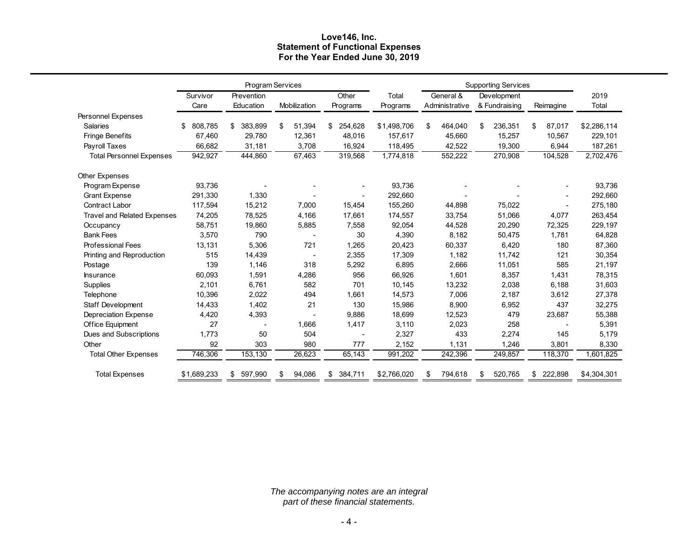#### **Love146, Inc. Statement of Functional Expenses For the Year Ended June 30, 2019**

|                                    | Program Services |               |              |                | <b>Supporting Services</b> |                |               |               |             |
|------------------------------------|------------------|---------------|--------------|----------------|----------------------------|----------------|---------------|---------------|-------------|
|                                    | Survivor         | Prevention    |              | Other          | Total                      | General &      | Development   |               | 2019        |
|                                    | Care             | Education     | Mobilization | Programs       | Programs                   | Administrative | & Fundraising | Reimagine     | Total       |
| Personnel Expenses                 |                  |               |              |                |                            |                |               |               |             |
| <b>Salaries</b>                    | 808,785<br>S     | 383,899<br>\$ | 51,394<br>\$ | 254,628<br>\$  | \$1,498,706                | 464,040<br>\$  | 236,351<br>\$ | \$<br>87,017  | \$2,286,114 |
| Fringe Benefits                    | 67,460           | 29,780        | 12,361       | 48,016         | 157,617                    | 45,660         | 15,257        | 10,567        | 229,101     |
| Payroll Taxes                      | 66,682           | 31,181        | 3,708        | 16,924         | 118,495                    | 42,522         | 19,300        | 6,944         | 187,261     |
| <b>Total Personnel Expenses</b>    | 942,927          | 444,860       | 67,463       | 319,568        | 1,774,818                  | 552,222        | 270,908       | 104,528       | 2,702,476   |
| Other Expenses                     |                  |               |              |                |                            |                |               |               |             |
| Program Expense                    | 93,736           |               |              |                | 93,736                     |                |               |               | 93,736      |
| <b>Grant Expense</b>               | 291,330          | 1,330         |              |                | 292,660                    |                |               |               | 292,660     |
| <b>Contract Labor</b>              | 117,594          | 15,212        | 7,000        | 15,454         | 155,260                    | 44,898         | 75.022        |               | 275,180     |
| <b>Travel and Related Expenses</b> | 74,205           | 78,525        | 4,166        | 17,661         | 174,557                    | 33,754         | 51,066        | 4,077         | 263,454     |
| Occupancy                          | 58,751           | 19,860        | 5,885        | 7,558          | 92,054                     | 44,528         | 20,290        | 72,325        | 229,197     |
| <b>Bank Fees</b>                   | 3,570            | 790           |              | 30             | 4,390                      | 8,182          | 50,475        | 1,781         | 64,828      |
| <b>Professional Fees</b>           | 13,131           | 5,306         | 721          | 1,265          | 20,423                     | 60,337         | 6,420         | 180           | 87,360      |
| Printing and Reproduction          | 515              | 14,439        |              | 2,355          | 17,309                     | 1,182          | 11.742        | 121           | 30,354      |
| Postage                            | 139              | 1,146         | 318          | 5,292          | 6,895                      | 2,666          | 11,051        | 585           | 21,197      |
| <b>Insurance</b>                   | 60,093           | 1,591         | 4,286        | 956            | 66,926                     | 1,601          | 8,357         | 1,431         | 78,315      |
| Supplies                           | 2,101            | 6,761         | 582          | 701            | 10,145                     | 13,232         | 2,038         | 6,188         | 31,603      |
| Telephone                          | 10,396           | 2,022         | 494          | 1,661          | 14,573                     | 7,006          | 2,187         | 3,612         | 27,378      |
| Staff Development                  | 14,433           | 1,402         | 21           | 130            | 15,986                     | 8,900          | 6,952         | 437           | 32,275      |
| Depreciation Expense               | 4,420            | 4,393         |              | 9,886          | 18,699                     | 12,523         | 479           | 23,687        | 55,388      |
| Office Equipment                   | 27               |               | 1,666        | 1,417          | 3,110                      | 2,023          | 258           |               | 5,391       |
| Dues and Subscriptions             | 1,773            | 50            | 504          | $\blacksquare$ | 2,327                      | 433            | 2,274         | 145           | 5,179       |
| Other                              | 92               | 303           | 980          | 777            | 2,152                      | 1,131          | 1,246         | 3,801         | 8,330       |
| <b>Total Other Expenses</b>        | 746,306          | 153,130       | 26,623       | 65,143         | 991,202                    | 242,396        | 249,857       | 118,370       | 1,601,825   |
| <b>Total Expenses</b>              | \$1,689,233      | 597,990<br>\$ | 94,086       | 384,711<br>\$  | \$2,766,020                | \$<br>794,618  | 520,765<br>\$ | \$<br>222,898 | \$4,304,301 |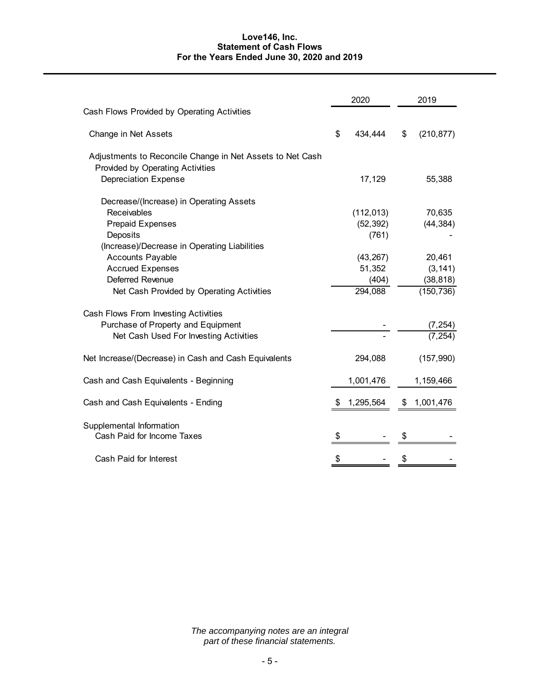#### **Love146, Inc. Statement of Cash Flows For the Years Ended June 30, 2020 and 2019**

|                                                                                               | 2020 |            |    | 2019       |
|-----------------------------------------------------------------------------------------------|------|------------|----|------------|
| Cash Flows Provided by Operating Activities                                                   |      |            |    |            |
| Change in Net Assets                                                                          | \$   | 434,444    | \$ | (210, 877) |
| Adjustments to Reconcile Change in Net Assets to Net Cash<br>Provided by Operating Activities |      |            |    |            |
| <b>Depreciation Expense</b>                                                                   |      | 17,129     |    | 55,388     |
| Decrease/(Increase) in Operating Assets                                                       |      |            |    |            |
| Receivables                                                                                   |      | (112, 013) |    | 70,635     |
| <b>Prepaid Expenses</b>                                                                       |      | (52, 392)  |    | (44, 384)  |
| Deposits                                                                                      |      | (761)      |    |            |
| (Increase)/Decrease in Operating Liabilities                                                  |      |            |    |            |
| <b>Accounts Payable</b>                                                                       |      | (43, 267)  |    | 20,461     |
| <b>Accrued Expenses</b>                                                                       |      | 51,352     |    | (3, 141)   |
| Deferred Revenue                                                                              |      | (404)      |    | (38, 818)  |
| Net Cash Provided by Operating Activities                                                     |      | 294,088    |    | (150, 736) |
| Cash Flows From Investing Activities                                                          |      |            |    |            |
| Purchase of Property and Equipment                                                            |      |            |    |            |
| Net Cash Used For Investing Activities                                                        |      |            |    |            |
| Net Increase/(Decrease) in Cash and Cash Equivalents                                          |      | 294,088    |    | (157, 990) |
| Cash and Cash Equivalents - Beginning                                                         |      | 1,001,476  |    | 1,159,466  |
| Cash and Cash Equivalents - Ending                                                            | S    | 1,295,564  | S  | 1,001,476  |
| Supplemental Information                                                                      |      |            |    |            |
| Cash Paid for Income Taxes                                                                    | S    |            | \$ |            |
| Cash Paid for Interest                                                                        | \$   |            |    |            |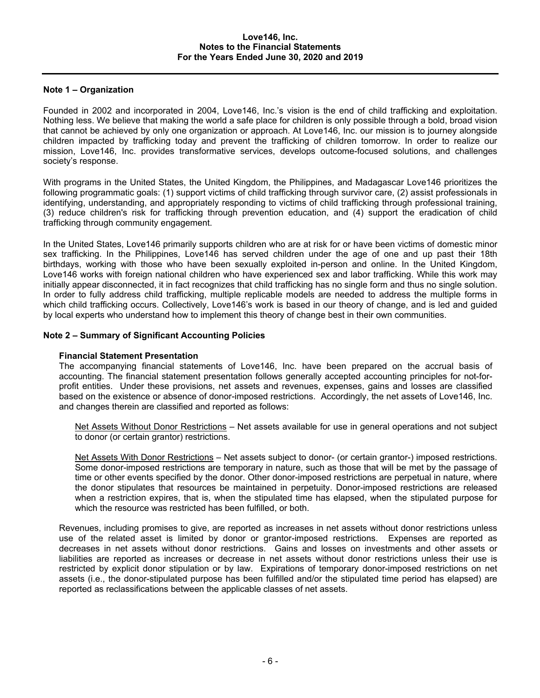# **Note 1 – Organization**

Founded in 2002 and incorporated in 2004, Love146, Inc.'s vision is the end of child trafficking and exploitation. Nothing less. We believe that making the world a safe place for children is only possible through a bold, broad vision that cannot be achieved by only one organization or approach. At Love146, Inc. our mission is to journey alongside children impacted by trafficking today and prevent the trafficking of children tomorrow. In order to realize our mission, Love146, Inc. provides transformative services, develops outcome-focused solutions, and challenges society's response.

With programs in the United States, the United Kingdom, the Philippines, and Madagascar Love146 prioritizes the following programmatic goals: (1) support victims of child trafficking through survivor care, (2) assist professionals in identifying, understanding, and appropriately responding to victims of child trafficking through professional training, (3) reduce children's risk for trafficking through prevention education, and (4) support the eradication of child trafficking through community engagement.

In the United States, Love146 primarily supports children who are at risk for or have been victims of domestic minor sex trafficking. In the Philippines, Love146 has served children under the age of one and up past their 18th birthdays, working with those who have been sexually exploited in-person and online. In the United Kingdom, Love146 works with foreign national children who have experienced sex and labor trafficking. While this work may initially appear disconnected, it in fact recognizes that child trafficking has no single form and thus no single solution. In order to fully address child trafficking, multiple replicable models are needed to address the multiple forms in which child trafficking occurs. Collectively, Love146's work is based in our theory of change, and is led and guided by local experts who understand how to implement this theory of change best in their own communities.

# **Note 2 – Summary of Significant Accounting Policies**

# **Financial Statement Presentation**

The accompanying financial statements of Love146, Inc. have been prepared on the accrual basis of accounting. The financial statement presentation follows generally accepted accounting principles for not-forprofit entities. Under these provisions, net assets and revenues, expenses, gains and losses are classified based on the existence or absence of donor-imposed restrictions. Accordingly, the net assets of Love146, Inc. and changes therein are classified and reported as follows:

Net Assets Without Donor Restrictions – Net assets available for use in general operations and not subject to donor (or certain grantor) restrictions.

Net Assets With Donor Restrictions – Net assets subject to donor- (or certain grantor-) imposed restrictions. Some donor-imposed restrictions are temporary in nature, such as those that will be met by the passage of time or other events specified by the donor. Other donor-imposed restrictions are perpetual in nature, where the donor stipulates that resources be maintained in perpetuity. Donor-imposed restrictions are released when a restriction expires, that is, when the stipulated time has elapsed, when the stipulated purpose for which the resource was restricted has been fulfilled, or both.

Revenues, including promises to give, are reported as increases in net assets without donor restrictions unless use of the related asset is limited by donor or grantor-imposed restrictions. Expenses are reported as decreases in net assets without donor restrictions. Gains and losses on investments and other assets or liabilities are reported as increases or decrease in net assets without donor restrictions unless their use is restricted by explicit donor stipulation or by law. Expirations of temporary donor-imposed restrictions on net assets (i.e., the donor-stipulated purpose has been fulfilled and/or the stipulated time period has elapsed) are reported as reclassifications between the applicable classes of net assets.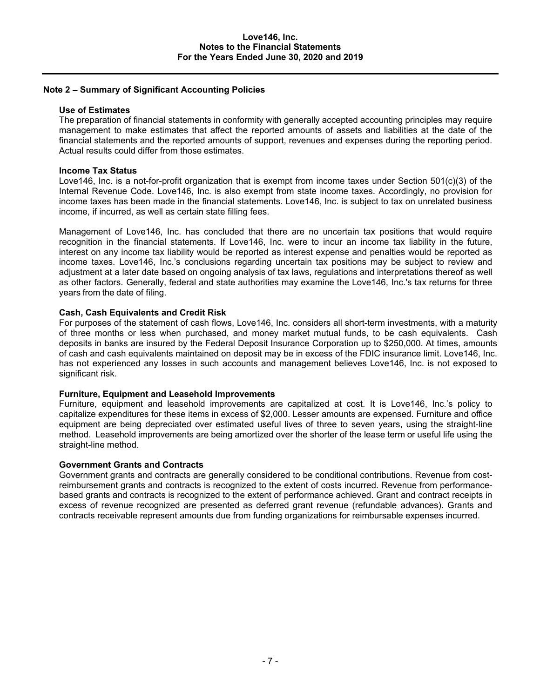# **Note 2 – Summary of Significant Accounting Policies**

#### **Use of Estimates**

The preparation of financial statements in conformity with generally accepted accounting principles may require management to make estimates that affect the reported amounts of assets and liabilities at the date of the financial statements and the reported amounts of support, revenues and expenses during the reporting period. Actual results could differ from those estimates.

#### **Income Tax Status**

Love146, Inc. is a not-for-profit organization that is exempt from income taxes under Section 501(c)(3) of the Internal Revenue Code. Love146, Inc. is also exempt from state income taxes. Accordingly, no provision for income taxes has been made in the financial statements. Love146, Inc. is subject to tax on unrelated business income, if incurred, as well as certain state filling fees.

Management of Love146, Inc. has concluded that there are no uncertain tax positions that would require recognition in the financial statements. If Love146, Inc. were to incur an income tax liability in the future, interest on any income tax liability would be reported as interest expense and penalties would be reported as income taxes. Love146, Inc.'s conclusions regarding uncertain tax positions may be subject to review and adjustment at a later date based on ongoing analysis of tax laws, regulations and interpretations thereof as well as other factors. Generally, federal and state authorities may examine the Love146, Inc.'s tax returns for three years from the date of filing.

#### **Cash, Cash Equivalents and Credit Risk**

For purposes of the statement of cash flows, Love146, Inc. considers all short-term investments, with a maturity of three months or less when purchased, and money market mutual funds, to be cash equivalents. Cash deposits in banks are insured by the Federal Deposit Insurance Corporation up to \$250,000. At times, amounts of cash and cash equivalents maintained on deposit may be in excess of the FDIC insurance limit. Love146, Inc. has not experienced any losses in such accounts and management believes Love146, Inc. is not exposed to significant risk.

#### **Furniture, Equipment and Leasehold Improvements**

Furniture, equipment and leasehold improvements are capitalized at cost. It is Love146, Inc.'s policy to capitalize expenditures for these items in excess of \$2,000. Lesser amounts are expensed. Furniture and office equipment are being depreciated over estimated useful lives of three to seven years, using the straight-line method. Leasehold improvements are being amortized over the shorter of the lease term or useful life using the straight-line method.

#### **Government Grants and Contracts**

Government grants and contracts are generally considered to be conditional contributions. Revenue from costreimbursement grants and contracts is recognized to the extent of costs incurred. Revenue from performancebased grants and contracts is recognized to the extent of performance achieved. Grant and contract receipts in excess of revenue recognized are presented as deferred grant revenue (refundable advances). Grants and contracts receivable represent amounts due from funding organizations for reimbursable expenses incurred.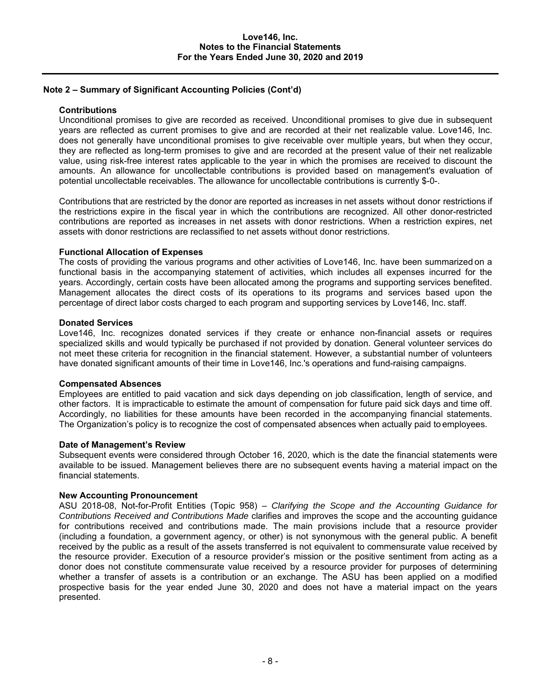# **Note 2 – Summary of Significant Accounting Policies (Cont'd)**

## **Contributions**

Unconditional promises to give are recorded as received. Unconditional promises to give due in subsequent years are reflected as current promises to give and are recorded at their net realizable value. Love146, Inc. does not generally have unconditional promises to give receivable over multiple years, but when they occur, they are reflected as long-term promises to give and are recorded at the present value of their net realizable value, using risk-free interest rates applicable to the year in which the promises are received to discount the amounts. An allowance for uncollectable contributions is provided based on management's evaluation of potential uncollectable receivables. The allowance for uncollectable contributions is currently \$-0-.

Contributions that are restricted by the donor are reported as increases in net assets without donor restrictions if the restrictions expire in the fiscal year in which the contributions are recognized. All other donor-restricted contributions are reported as increases in net assets with donor restrictions. When a restriction expires, net assets with donor restrictions are reclassified to net assets without donor restrictions.

## **Functional Allocation of Expenses**

The costs of providing the various programs and other activities of Love146, Inc. have been summarized on a functional basis in the accompanying statement of activities, which includes all expenses incurred for the years. Accordingly, certain costs have been allocated among the programs and supporting services benefited. Management allocates the direct costs of its operations to its programs and services based upon the percentage of direct labor costs charged to each program and supporting services by Love146, Inc. staff.

#### **Donated Services**

Love146, Inc. recognizes donated services if they create or enhance non-financial assets or requires specialized skills and would typically be purchased if not provided by donation. General volunteer services do not meet these criteria for recognition in the financial statement. However, a substantial number of volunteers have donated significant amounts of their time in Love146, Inc.'s operations and fund-raising campaigns.

#### **Compensated Absences**

Employees are entitled to paid vacation and sick days depending on job classification, length of service, and other factors. It is impracticable to estimate the amount of compensation for future paid sick days and time off. Accordingly, no liabilities for these amounts have been recorded in the accompanying financial statements. The Organization's policy is to recognize the cost of compensated absences when actually paid to employees.

#### **Date of Management's Review**

Subsequent events were considered through October 16, 2020, which is the date the financial statements were available to be issued. Management believes there are no subsequent events having a material impact on the financial statements.

#### **New Accounting Pronouncement**

ASU 2018-08, Not-for-Profit Entities (Topic 958) – *Clarifying the Scope and the Accounting Guidance for Contributions Received and Contributions Made* clarifies and improves the scope and the accounting guidance for contributions received and contributions made. The main provisions include that a resource provider (including a foundation, a government agency, or other) is not synonymous with the general public. A benefit received by the public as a result of the assets transferred is not equivalent to commensurate value received by the resource provider. Execution of a resource provider's mission or the positive sentiment from acting as a donor does not constitute commensurate value received by a resource provider for purposes of determining whether a transfer of assets is a contribution or an exchange. The ASU has been applied on a modified prospective basis for the year ended June 30, 2020 and does not have a material impact on the years presented.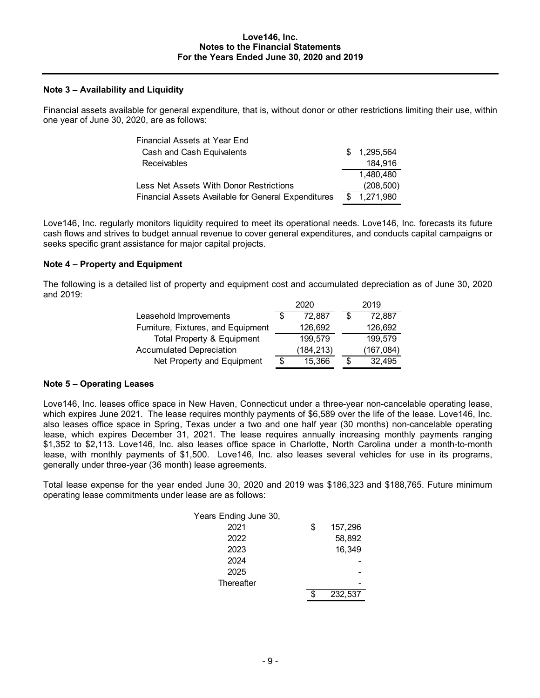# **Note 3 – Availability and Liquidity**

Financial assets available for general expenditure, that is, without donor or other restrictions limiting their use, within one year of June 30, 2020, are as follows:

| Financial Assets at Year End                        |             |
|-----------------------------------------------------|-------------|
| Cash and Cash Equivalents                           | \$1.295.564 |
| <b>Receivables</b>                                  | 184.916     |
|                                                     | 1,480,480   |
| Less Net Assets With Donor Restrictions             | (208, 500)  |
| Financial Assets Available for General Expenditures | \$1.271.980 |

Love146, Inc. regularly monitors liquidity required to meet its operational needs. Love146, Inc. forecasts its future cash flows and strives to budget annual revenue to cover general expenditures, and conducts capital campaigns or seeks specific grant assistance for major capital projects.

# **Note 4 – Property and Equipment**

The following is a detailed list of property and equipment cost and accumulated depreciation as of June 30, 2020 and 2019:

|                                    | 2020 |            |    | 2019       |
|------------------------------------|------|------------|----|------------|
| Leasehold Improvements             |      | 72,887     | \$ | 72,887     |
| Furniture, Fixtures, and Equipment |      | 126,692    |    | 126,692    |
| Total Property & Equipment         |      | 199,579    |    | 199,579    |
| <b>Accumulated Depreciation</b>    |      | (184, 213) |    | (167, 084) |
| Net Property and Equipment         |      | 15,366     | S  | 32,495     |

# **Note 5 – Operating Leases**

Love146, Inc. leases office space in New Haven, Connecticut under a three-year non-cancelable operating lease, which expires June 2021. The lease requires monthly payments of \$6,589 over the life of the lease. Love146, Inc. also leases office space in Spring, Texas under a two and one half year (30 months) non-cancelable operating lease, which expires December 31, 2021. The lease requires annually increasing monthly payments ranging \$1,352 to \$2,113. Love146, Inc. also leases office space in Charlotte, North Carolina under a month-to-month lease, with monthly payments of \$1,500. Love146, Inc. also leases several vehicles for use in its programs, generally under three-year (36 month) lease agreements.

Total lease expense for the year ended June 30, 2020 and 2019 was \$186,323 and \$188,765. Future minimum operating lease commitments under lease are as follows:

| Years Ending June 30, |               |
|-----------------------|---------------|
| 2021                  | \$<br>157,296 |
| 2022                  | 58,892        |
| 2023                  | 16,349        |
| 2024                  |               |
| 2025                  |               |
| Thereafter            |               |
|                       | 232,537       |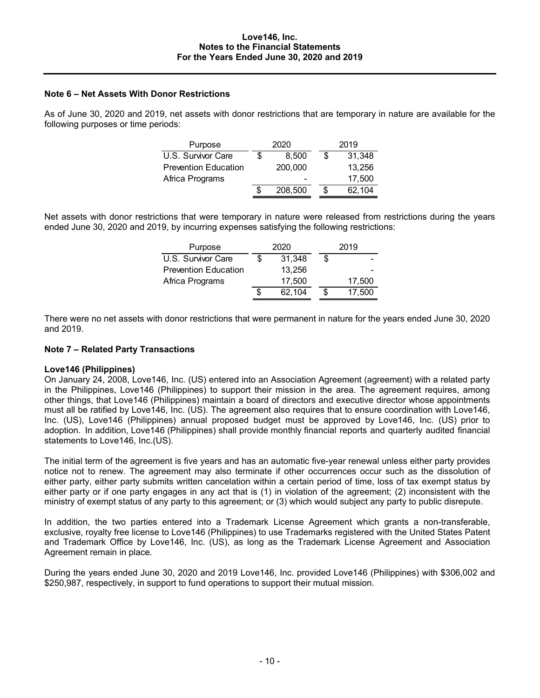## **Note 6 – Net Assets With Donor Restrictions**

As of June 30, 2020 and 2019, net assets with donor restrictions that are temporary in nature are available for the following purposes or time periods:

| Purpose                     | 2020        | 2019 |        |  |
|-----------------------------|-------------|------|--------|--|
| U.S. Survivor Care          | \$<br>8.500 | S    | 31,348 |  |
| <b>Prevention Education</b> | 200,000     |      | 13,256 |  |
| Africa Programs             |             |      | 17,500 |  |
|                             | 208,500     | S    | 62,104 |  |

Net assets with donor restrictions that were temporary in nature were released from restrictions during the years ended June 30, 2020 and 2019, by incurring expenses satisfying the following restrictions:

| Purpose                     |   | 2020   | 2019 |        |  |
|-----------------------------|---|--------|------|--------|--|
| U.S. Survivor Care          |   | 31.348 |      |        |  |
| <b>Prevention Education</b> |   | 13.256 |      |        |  |
| Africa Programs             |   | 17.500 |      | 17,500 |  |
|                             | S | 62.104 |      | 17.500 |  |

There were no net assets with donor restrictions that were permanent in nature for the years ended June 30, 2020 and 2019.

## **Note 7 – Related Party Transactions**

#### **Love146 (Philippines)**

On January 24, 2008, Love146, Inc. (US) entered into an Association Agreement (agreement) with a related party in the Philippines, Love146 (Philippines) to support their mission in the area. The agreement requires, among other things, that Love146 (Philippines) maintain a board of directors and executive director whose appointments must all be ratified by Love146, Inc. (US). The agreement also requires that to ensure coordination with Love146, Inc. (US), Love146 (Philippines) annual proposed budget must be approved by Love146, Inc. (US) prior to adoption. In addition, Love146 (Philippines) shall provide monthly financial reports and quarterly audited financial statements to Love146, Inc.(US).

The initial term of the agreement is five years and has an automatic five-year renewal unless either party provides notice not to renew. The agreement may also terminate if other occurrences occur such as the dissolution of either party, either party submits written cancelation within a certain period of time, loss of tax exempt status by either party or if one party engages in any act that is (1) in violation of the agreement; (2) inconsistent with the ministry of exempt status of any party to this agreement; or (3) which would subject any party to public disrepute.

In addition, the two parties entered into a Trademark License Agreement which grants a non-transferable, exclusive, royalty free license to Love146 (Philippines) to use Trademarks registered with the United States Patent and Trademark Office by Love146, Inc. (US), as long as the Trademark License Agreement and Association Agreement remain in place.

During the years ended June 30, 2020 and 2019 Love146, Inc. provided Love146 (Philippines) with \$306,002 and \$250,987, respectively, in support to fund operations to support their mutual mission.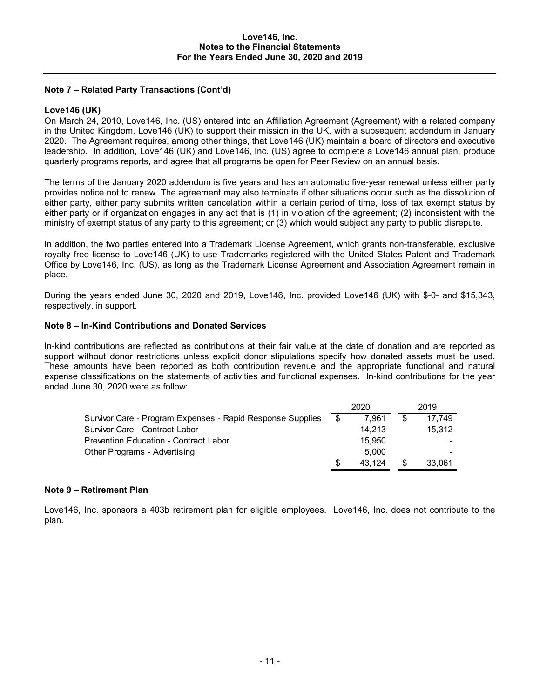# **Note 7 – Related Party Transactions (Cont'd)**

# **Love146 (UK)**

On March 24, 2010, Love146, Inc. (US) entered into an Affiliation Agreement (Agreement) with a related company in the United Kingdom, Love146 (UK) to support their mission in the UK, with a subsequent addendum in January 2020. The Agreement requires, among other things, that Love146 (UK) maintain a board of directors and executive leadership. In addition, Love146 (UK) and Love146, Inc. (US) agree to complete a Love146 annual plan, produce quarterly programs reports, and agree that all programs be open for Peer Review on an annual basis.

The terms of the January 2020 addendum is five years and has an automatic five-year renewal unless either party provides notice not to renew. The agreement may also terminate if other situations occur such as the dissolution of either party, either party submits written cancelation within a certain period of time, loss of tax exempt status by either party or if organization engages in any act that is (1) in violation of the agreement; (2) inconsistent with the ministry of exempt status of any party to this agreement; or (3) which would subject any party to public disrepute.

In addition, the two parties entered into a Trademark License Agreement, which grants non-transferable, exclusive royalty free license to Love146 (UK) to use Trademarks registered with the United States Patent and Trademark Office by Love146, Inc. (US), as long as the Trademark License Agreement and Association Agreement remain in place.

During the years ended June 30, 2020 and 2019, Love146, Inc. provided Love146 (UK) with \$-0- and \$15,343, respectively, in support.

#### **Note 8 – In-Kind Contributions and Donated Services**

In-kind contributions are reflected as contributions at their fair value at the date of donation and are reported as support without donor restrictions unless explicit donor stipulations specify how donated assets must be used. These amounts have been reported as both contribution revenue and the appropriate functional and natural expense classifications on the statements of activities and functional expenses. In-kind contributions for the year ended June 30, 2020 were as follow:

|                                                            |      | 2020   | 2019   |
|------------------------------------------------------------|------|--------|--------|
| Survivor Care - Program Expenses - Rapid Response Supplies | - \$ | 7.961  | 17.749 |
| Survivor Care - Contract Labor                             |      | 14.213 | 15.312 |
| <b>Prevention Education - Contract Labor</b>               |      | 15.950 |        |
| Other Programs - Advertising                               |      | 5.000  |        |
|                                                            |      | 43.124 | 33.061 |

### **Note 9 – Retirement Plan**

Love146, Inc. sponsors a 403b retirement plan for eligible employees. Love146, Inc. does not contribute to the plan.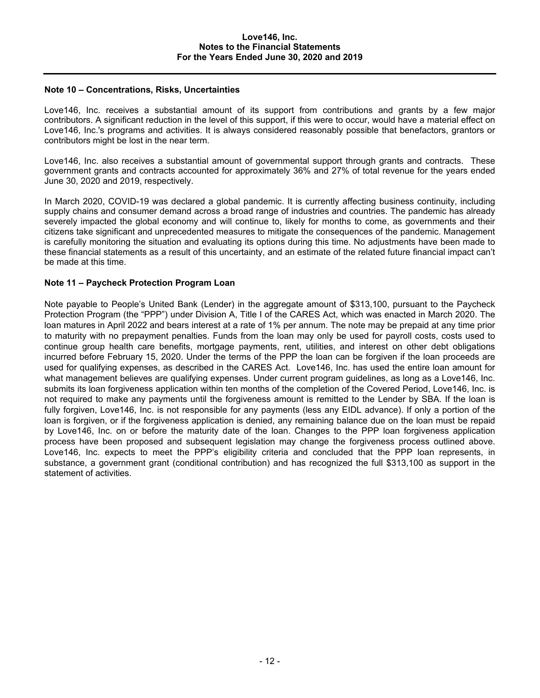### **Note 10 – Concentrations, Risks, Uncertainties**

Love146, Inc. receives a substantial amount of its support from contributions and grants by a few major contributors. A significant reduction in the level of this support, if this were to occur, would have a material effect on Love146, Inc.'s programs and activities. It is always considered reasonably possible that benefactors, grantors or contributors might be lost in the near term.

Love146, Inc. also receives a substantial amount of governmental support through grants and contracts. These government grants and contracts accounted for approximately 36% and 27% of total revenue for the years ended June 30, 2020 and 2019, respectively.

In March 2020, COVID-19 was declared a global pandemic. It is currently affecting business continuity, including supply chains and consumer demand across a broad range of industries and countries. The pandemic has already severely impacted the global economy and will continue to, likely for months to come, as governments and their citizens take significant and unprecedented measures to mitigate the consequences of the pandemic. Management is carefully monitoring the situation and evaluating its options during this time. No adjustments have been made to these financial statements as a result of this uncertainty, and an estimate of the related future financial impact can't be made at this time.

# **Note 11 – Paycheck Protection Program Loan**

Note payable to People's United Bank (Lender) in the aggregate amount of \$313,100, pursuant to the Paycheck Protection Program (the "PPP") under Division A, Title I of the CARES Act, which was enacted in March 2020. The loan matures in April 2022 and bears interest at a rate of 1% per annum. The note may be prepaid at any time prior to maturity with no prepayment penalties. Funds from the loan may only be used for payroll costs, costs used to continue group health care benefits, mortgage payments, rent, utilities, and interest on other debt obligations incurred before February 15, 2020. Under the terms of the PPP the loan can be forgiven if the loan proceeds are used for qualifying expenses, as described in the CARES Act. Love146, Inc. has used the entire loan amount for what management believes are qualifying expenses. Under current program guidelines, as long as a Love146, Inc. submits its loan forgiveness application within ten months of the completion of the Covered Period, Love146, Inc. is not required to make any payments until the forgiveness amount is remitted to the Lender by SBA. If the loan is fully forgiven, Love146, Inc. is not responsible for any payments (less any EIDL advance). If only a portion of the loan is forgiven, or if the forgiveness application is denied, any remaining balance due on the loan must be repaid by Love146, Inc. on or before the maturity date of the loan. Changes to the PPP loan forgiveness application process have been proposed and subsequent legislation may change the forgiveness process outlined above. Love146, Inc. expects to meet the PPP's eligibility criteria and concluded that the PPP loan represents, in substance, a government grant (conditional contribution) and has recognized the full \$313,100 as support in the statement of activities.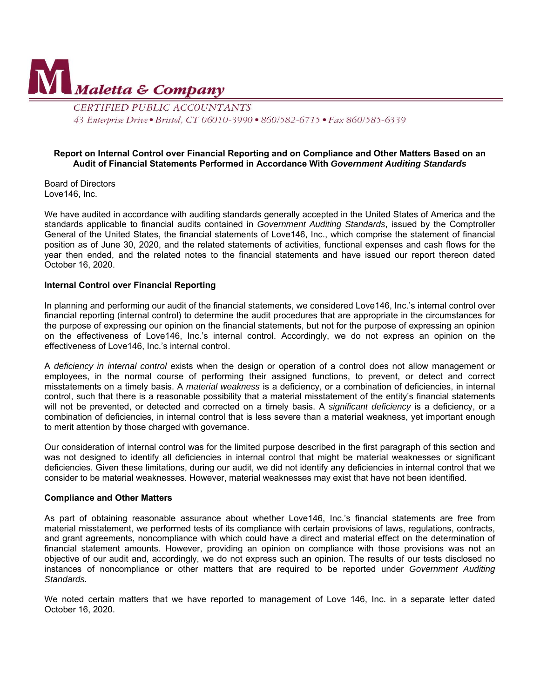

CERTIFIED PUBLIC ACCOUNTANTS 43 Enterprise Drive • Bristol, CT 06010-3990 • 860/582-6715 • Fax 860/585-6339

#### **Report on Internal Control over Financial Reporting and on Compliance and Other Matters Based on an Audit of Financial Statements Performed in Accordance With** *Government Auditing Standards*

Board of Directors Love146, Inc.

We have audited in accordance with auditing standards generally accepted in the United States of America and the standards applicable to financial audits contained in *Government Auditing Standards*, issued by the Comptroller General of the United States, the financial statements of Love146, Inc., which comprise the statement of financial position as of June 30, 2020, and the related statements of activities, functional expenses and cash flows for the year then ended, and the related notes to the financial statements and have issued our report thereon dated October 16, 2020.

#### **Internal Control over Financial Reporting**

In planning and performing our audit of the financial statements, we considered Love146, Inc.'s internal control over financial reporting (internal control) to determine the audit procedures that are appropriate in the circumstances for the purpose of expressing our opinion on the financial statements, but not for the purpose of expressing an opinion on the effectiveness of Love146, Inc.'s internal control. Accordingly, we do not express an opinion on the effectiveness of Love146, Inc.'s internal control.

A *deficiency in internal control* exists when the design or operation of a control does not allow management or employees, in the normal course of performing their assigned functions, to prevent, or detect and correct misstatements on a timely basis. A *material weakness* is a deficiency, or a combination of deficiencies, in internal control, such that there is a reasonable possibility that a material misstatement of the entity's financial statements will not be prevented, or detected and corrected on a timely basis. A *significant deficiency* is a deficiency, or a combination of deficiencies, in internal control that is less severe than a material weakness, yet important enough to merit attention by those charged with governance.

Our consideration of internal control was for the limited purpose described in the first paragraph of this section and was not designed to identify all deficiencies in internal control that might be material weaknesses or significant deficiencies. Given these limitations, during our audit, we did not identify any deficiencies in internal control that we consider to be material weaknesses. However, material weaknesses may exist that have not been identified.

#### **Compliance and Other Matters**

As part of obtaining reasonable assurance about whether Love146, Inc.'s financial statements are free from material misstatement, we performed tests of its compliance with certain provisions of laws, regulations, contracts, and grant agreements, noncompliance with which could have a direct and material effect on the determination of financial statement amounts. However, providing an opinion on compliance with those provisions was not an objective of our audit and, accordingly, we do not express such an opinion. The results of our tests disclosed no instances of noncompliance or other matters that are required to be reported under *Government Auditing Standards.*

We noted certain matters that we have reported to management of Love 146, Inc. in a separate letter dated October 16, 2020.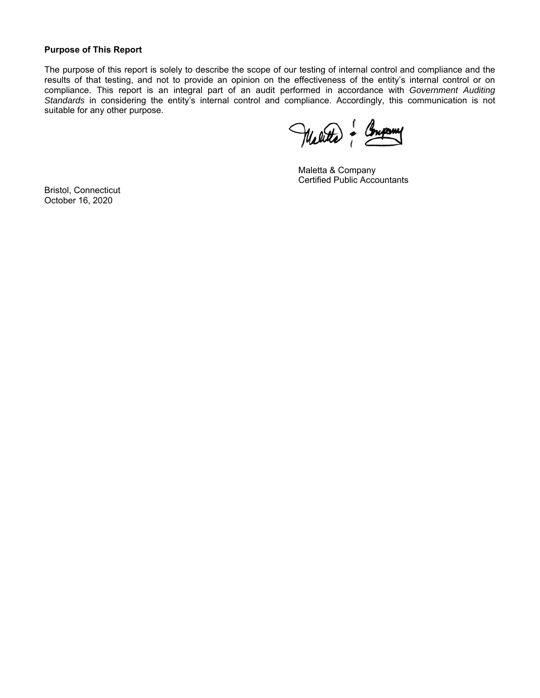### **Purpose of This Report**

The purpose of this report is solely to describe the scope of our testing of internal control and compliance and the results of that testing, and not to provide an opinion on the effectiveness of the entity's internal control or on compliance. This report is an integral part of an audit performed in accordance with *Government Auditing Standards* in considering the entity's internal control and compliance. Accordingly, this communication is not suitable for any other purpose.

Melitte : Gregory

Maletta & Company Certified Public Accountants

Bristol, Connecticut October 16, 2020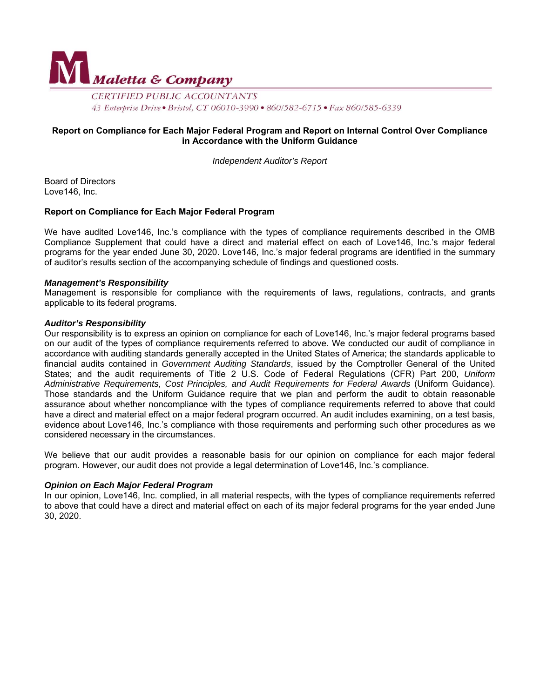

43 Enterprise Drive • Bristol, CT 06010-3990 • 860/582-6715 • Fax 860/585-6339

## **Report on Compliance for Each Major Federal Program and Report on Internal Control Over Compliance in Accordance with the Uniform Guidance**

*Independent Auditor's Report* 

Board of Directors Love146, Inc.

#### **Report on Compliance for Each Major Federal Program**

We have audited Love146, Inc.'s compliance with the types of compliance requirements described in the OMB Compliance Supplement that could have a direct and material effect on each of Love146, Inc.'s major federal programs for the year ended June 30, 2020. Love146, Inc.'s major federal programs are identified in the summary of auditor's results section of the accompanying schedule of findings and questioned costs.

#### *Management's Responsibility*

Management is responsible for compliance with the requirements of laws, regulations, contracts, and grants applicable to its federal programs.

#### *Auditor's Responsibility*

Our responsibility is to express an opinion on compliance for each of Love146, Inc.'s major federal programs based on our audit of the types of compliance requirements referred to above. We conducted our audit of compliance in accordance with auditing standards generally accepted in the United States of America; the standards applicable to financial audits contained in *Government Auditing Standards*, issued by the Comptroller General of the United States; and the audit requirements of Title 2 U.S. Code of Federal Regulations (CFR) Part 200, *Uniform Administrative Requirements, Cost Principles, and Audit Requirements for Federal Awards* (Uniform Guidance). Those standards and the Uniform Guidance require that we plan and perform the audit to obtain reasonable assurance about whether noncompliance with the types of compliance requirements referred to above that could have a direct and material effect on a major federal program occurred. An audit includes examining, on a test basis, evidence about Love146, Inc.'s compliance with those requirements and performing such other procedures as we considered necessary in the circumstances.

We believe that our audit provides a reasonable basis for our opinion on compliance for each major federal program. However, our audit does not provide a legal determination of Love146, Inc.'s compliance.

#### *Opinion on Each Major Federal Program*

In our opinion, Love146, Inc. complied, in all material respects, with the types of compliance requirements referred to above that could have a direct and material effect on each of its major federal programs for the year ended June 30, 2020.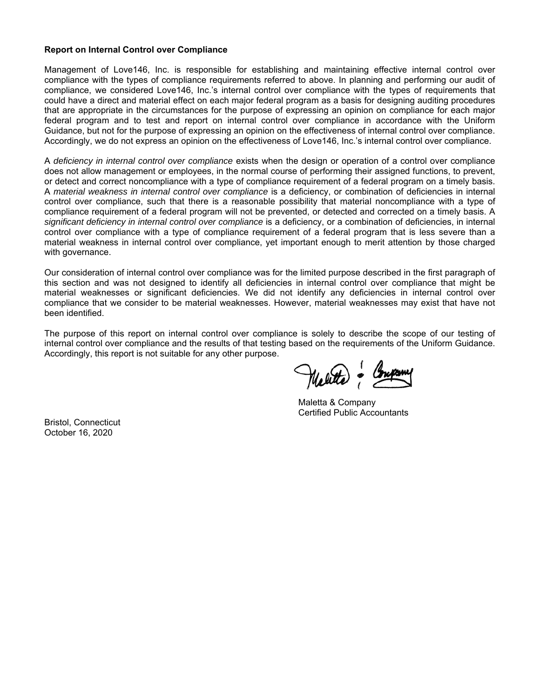#### **Report on Internal Control over Compliance**

Management of Love146, Inc. is responsible for establishing and maintaining effective internal control over compliance with the types of compliance requirements referred to above. In planning and performing our audit of compliance, we considered Love146, Inc.'s internal control over compliance with the types of requirements that could have a direct and material effect on each major federal program as a basis for designing auditing procedures that are appropriate in the circumstances for the purpose of expressing an opinion on compliance for each major federal program and to test and report on internal control over compliance in accordance with the Uniform Guidance, but not for the purpose of expressing an opinion on the effectiveness of internal control over compliance. Accordingly, we do not express an opinion on the effectiveness of Love146, Inc.'s internal control over compliance.

A *deficiency in internal control over compliance* exists when the design or operation of a control over compliance does not allow management or employees, in the normal course of performing their assigned functions, to prevent, or detect and correct noncompliance with a type of compliance requirement of a federal program on a timely basis. A *material weakness in internal control over compliance* is a deficiency, or combination of deficiencies in internal control over compliance, such that there is a reasonable possibility that material noncompliance with a type of compliance requirement of a federal program will not be prevented, or detected and corrected on a timely basis. A *significant deficiency in internal control over compliance* is a deficiency, or a combination of deficiencies, in internal control over compliance with a type of compliance requirement of a federal program that is less severe than a material weakness in internal control over compliance, yet important enough to merit attention by those charged with governance.

Our consideration of internal control over compliance was for the limited purpose described in the first paragraph of this section and was not designed to identify all deficiencies in internal control over compliance that might be material weaknesses or significant deficiencies. We did not identify any deficiencies in internal control over compliance that we consider to be material weaknesses. However, material weaknesses may exist that have not been identified.

The purpose of this report on internal control over compliance is solely to describe the scope of our testing of internal control over compliance and the results of that testing based on the requirements of the Uniform Guidance. Accordingly, this report is not suitable for any other purpose.

Melitte - Brigan

Maletta & Company Certified Public Accountants

Bristol, Connecticut October 16, 2020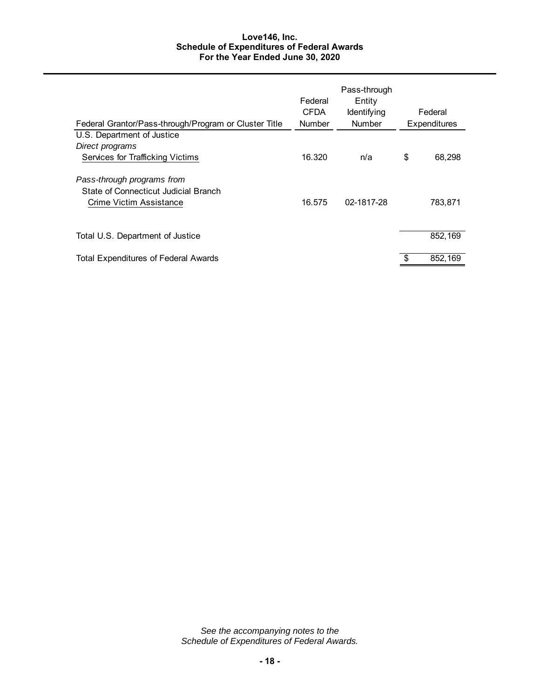#### **Love146, Inc. Schedule of Expenditures of Federal Awards For the Year Ended June 30, 2020**

| Federal Grantor/Pass-through/Program or Cluster Title                                         | Federal<br><b>CFDA</b><br><b>Number</b> | Pass-through<br>Entity<br><b>Identifying</b><br><b>Number</b> |    | Federal<br><b>Expenditures</b> |
|-----------------------------------------------------------------------------------------------|-----------------------------------------|---------------------------------------------------------------|----|--------------------------------|
| U.S. Department of Justice                                                                    |                                         |                                                               |    |                                |
| Direct programs                                                                               |                                         |                                                               |    |                                |
| Services for Trafficking Victims                                                              | 16.320                                  | n/a                                                           | \$ | 68,298                         |
| Pass-through programs from<br>State of Connecticut Judicial Branch<br>Crime Victim Assistance | 16.575                                  | 02-1817-28                                                    |    | 783.871                        |
| Total U.S. Department of Justice                                                              |                                         |                                                               |    | 852,169                        |
| <b>Total Expenditures of Federal Awards</b>                                                   |                                         |                                                               | £. | 852,169                        |

*See the accompanying notes to the Schedule of Expenditures of Federal Awards.*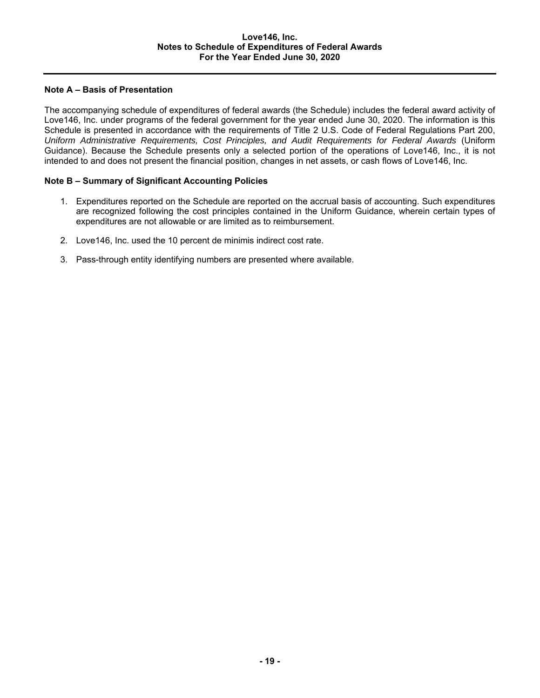# **Note A – Basis of Presentation**

The accompanying schedule of expenditures of federal awards (the Schedule) includes the federal award activity of Love146, Inc. under programs of the federal government for the year ended June 30, 2020. The information is this Schedule is presented in accordance with the requirements of Title 2 U.S. Code of Federal Regulations Part 200, *Uniform Administrative Requirements, Cost Principles, and Audit Requirements for Federal Awards* (Uniform Guidance). Because the Schedule presents only a selected portion of the operations of Love146, Inc., it is not intended to and does not present the financial position, changes in net assets, or cash flows of Love146, Inc.

# **Note B – Summary of Significant Accounting Policies**

- 1. Expenditures reported on the Schedule are reported on the accrual basis of accounting. Such expenditures are recognized following the cost principles contained in the Uniform Guidance, wherein certain types of expenditures are not allowable or are limited as to reimbursement.
- 2. Love146, Inc. used the 10 percent de minimis indirect cost rate.
- 3. Pass-through entity identifying numbers are presented where available.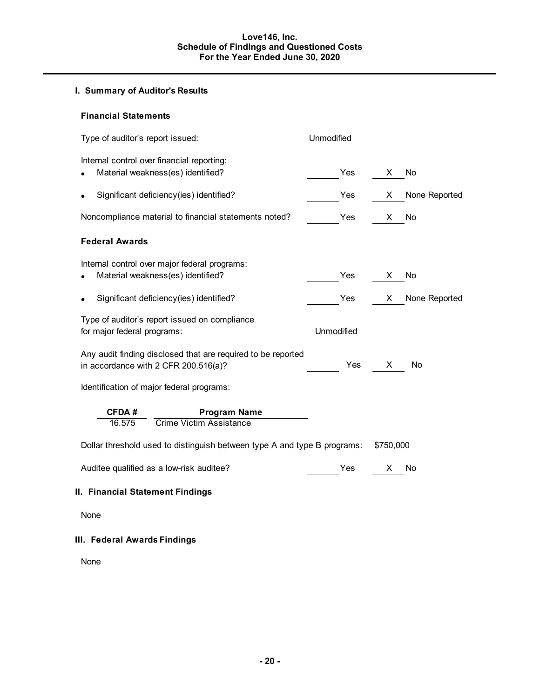#### **Love146, Inc. Schedule of Findings and Questioned Costs For the Year Ended June 30, 2020**

# **I. Summary of Auditor's Results**

# **Financial Statements**

| Type of auditor's report issued:                                                                     | <b>Unmodified</b> |                    |
|------------------------------------------------------------------------------------------------------|-------------------|--------------------|
| Internal control over financial reporting:<br>Material weakness(es) identified?                      | Yes               | X<br>No            |
| Significant deficiency(ies) identified?                                                              | Yes               | None Reported<br>х |
| Noncompliance material to financial statements noted?                                                | Yes               | No<br>х            |
| <b>Federal Awards</b>                                                                                |                   |                    |
| Internal control over major federal programs:<br>Material weakness(es) identified?                   | Yes               | No<br>X.           |
| Significant deficiency(ies) identified?                                                              | Yes               | None Reported<br>X |
| Type of auditor's report issued on compliance<br>for major federal programs:                         | Unmodified        |                    |
| Any audit finding disclosed that are required to be reported<br>in accordance with 2 CFR 200.516(a)? | Yes               | X<br>No            |
| Identification of major federal programs:                                                            |                   |                    |
| <b>CFDA#</b><br><b>Program Name</b><br>16.575<br><b>Crime Victim Assistance</b>                      |                   |                    |
| Dollar threshold used to distinguish between type A and type B programs:                             |                   | \$750,000          |
| Auditee qualified as a low-risk auditee?                                                             | Yes               | No<br>X            |
| II. Financial Statement Findings                                                                     |                   |                    |
| None                                                                                                 |                   |                    |

# **III. Federal Awards Findings**

None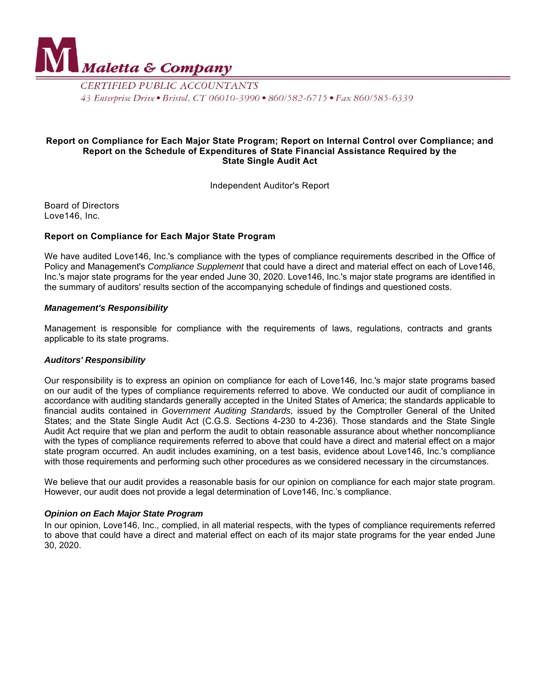

CERTIFIED PUBLIC ACCOUNTANTS 43 Enterprise Drive • Bristol, CT 06010-3990 • 860/582-6715 • Fax 860/585-6339

#### **Report on Compliance for Each Major State Program; Report on Internal Control over Compliance; and Report on the Schedule of Expenditures of State Financial Assistance Required by the State Single Audit Act**

Independent Auditor's Report

Board of Directors Love146, Inc.

## **Report on Compliance for Each Major State Program**

We have audited Love146, Inc.'s compliance with the types of compliance requirements described in the Office of Policy and Management's *Compliance Supplement* that could have a direct and material effect on each of Love146, Inc.'s major state programs for the year ended June 30, 2020. Love146, Inc.'s major state programs are identified in the summary of auditors' results section of the accompanying schedule of findings and questioned costs.

#### *Management's Responsibility*

Management is responsible for compliance with the requirements of laws, regulations, contracts and grants applicable to its state programs.

#### *Auditors' Responsibility*

Our responsibility is to express an opinion on compliance for each of Love146, Inc.'s major state programs based on our audit of the types of compliance requirements referred to above. We conducted our audit of compliance in accordance with auditing standards generally accepted in the United States of America; the standards applicable to financial audits contained in *Government Auditing Standards,* issued by the Comptroller General of the United States; and the State Single Audit Act (C.G.S. Sections 4-230 to 4-236). Those standards and the State Single Audit Act require that we plan and perform the audit to obtain reasonable assurance about whether noncompliance with the types of compliance requirements referred to above that could have a direct and material effect on a major state program occurred. An audit includes examining, on a test basis, evidence about Love146, Inc.'s compliance with those requirements and performing such other procedures as we considered necessary in the circumstances.

We believe that our audit provides a reasonable basis for our opinion on compliance for each major state program. However, our audit does not provide a legal determination of Love146, Inc.'s compliance.

#### *Opinion on Each Major State Program*

In our opinion, Love146, Inc., complied, in all material respects, with the types of compliance requirements referred to above that could have a direct and material effect on each of its major state programs for the year ended June 30, 2020.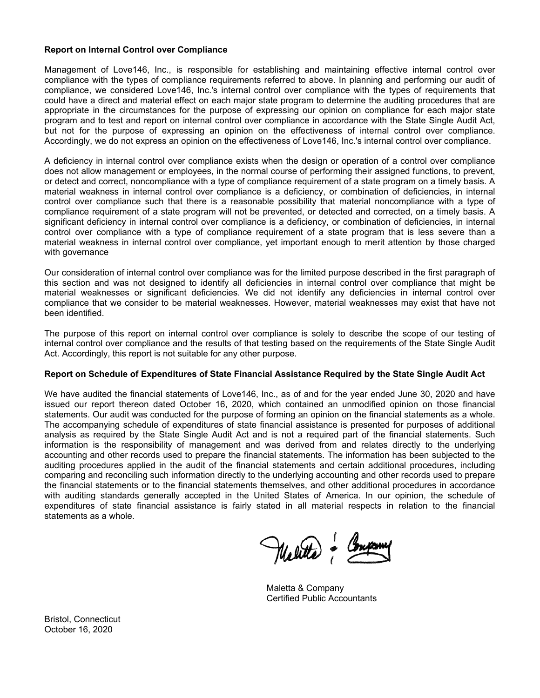### **Report on Internal Control over Compliance**

Management of Love146, Inc., is responsible for establishing and maintaining effective internal control over compliance with the types of compliance requirements referred to above. In planning and performing our audit of compliance, we considered Love146, Inc.'s internal control over compliance with the types of requirements that could have a direct and material effect on each major state program to determine the auditing procedures that are appropriate in the circumstances for the purpose of expressing our opinion on compliance for each major state program and to test and report on internal control over compliance in accordance with the State Single Audit Act, but not for the purpose of expressing an opinion on the effectiveness of internal control over compliance. Accordingly, we do not express an opinion on the effectiveness of Love146, Inc.'s internal control over compliance.

A deficiency in internal control over compliance exists when the design or operation of a control over compliance does not allow management or employees, in the normal course of performing their assigned functions, to prevent, or detect and correct, noncompliance with a type of compliance requirement of a state program on a timely basis. A material weakness in internal control over compliance is a deficiency, or combination of deficiencies, in internal control over compliance such that there is a reasonable possibility that material noncompliance with a type of compliance requirement of a state program will not be prevented, or detected and corrected, on a timely basis. A significant deficiency in internal control over compliance is a deficiency, or combination of deficiencies, in internal control over compliance with a type of compliance requirement of a state program that is less severe than a material weakness in internal control over compliance, yet important enough to merit attention by those charged with governance

Our consideration of internal control over compliance was for the limited purpose described in the first paragraph of this section and was not designed to identify all deficiencies in internal control over compliance that might be material weaknesses or significant deficiencies. We did not identify any deficiencies in internal control over compliance that we consider to be material weaknesses. However, material weaknesses may exist that have not been identified.

The purpose of this report on internal control over compliance is solely to describe the scope of our testing of internal control over compliance and the results of that testing based on the requirements of the State Single Audit Act. Accordingly, this report is not suitable for any other purpose.

#### **Report on Schedule of Expenditures of State Financial Assistance Required by the State Single Audit Act**

We have audited the financial statements of Love146, Inc., as of and for the year ended June 30, 2020 and have issued our report thereon dated October 16, 2020, which contained an unmodified opinion on those financial statements. Our audit was conducted for the purpose of forming an opinion on the financial statements as a whole. The accompanying schedule of expenditures of state financial assistance is presented for purposes of additional analysis as required by the State Single Audit Act and is not a required part of the financial statements. Such information is the responsibility of management and was derived from and relates directly to the underlying accounting and other records used to prepare the financial statements. The information has been subjected to the auditing procedures applied in the audit of the financial statements and certain additional procedures, including comparing and reconciling such information directly to the underlying accounting and other records used to prepare the financial statements or to the financial statements themselves, and other additional procedures in accordance with auditing standards generally accepted in the United States of America. In our opinion, the schedule of expenditures of state financial assistance is fairly stated in all material respects in relation to the financial statements as a whole.

Melitte : Company

Maletta & Company Certified Public Accountants

Bristol, Connecticut October 16, 2020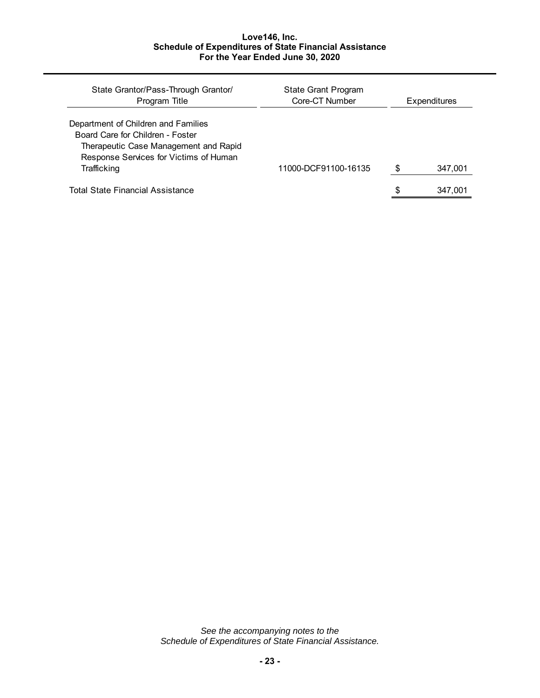#### **Love146, Inc. Schedule of Expenditures of State Financial Assistance For the Year Ended June 30, 2020**

| State Grantor/Pass-Through Grantor/<br>Program Title                                                                                                                      | State Grant Program<br>Core-CT Number |   | <b>Expenditures</b> |  |
|---------------------------------------------------------------------------------------------------------------------------------------------------------------------------|---------------------------------------|---|---------------------|--|
| Department of Children and Families<br>Board Care for Children - Foster<br>Therapeutic Case Management and Rapid<br>Response Services for Victims of Human<br>Trafficking | 11000-DCF91100-16135                  | S | 347,001             |  |
| <b>Total State Financial Assistance</b>                                                                                                                                   |                                       | S | 347.001             |  |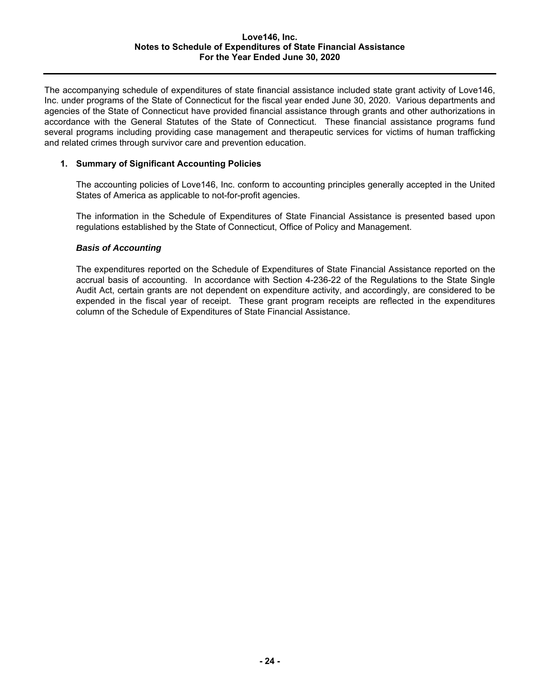#### **Love146, Inc. Notes to Schedule of Expenditures of State Financial Assistance For the Year Ended June 30, 2020**

The accompanying schedule of expenditures of state financial assistance included state grant activity of Love146, Inc. under programs of the State of Connecticut for the fiscal year ended June 30, 2020. Various departments and agencies of the State of Connecticut have provided financial assistance through grants and other authorizations in accordance with the General Statutes of the State of Connecticut. These financial assistance programs fund several programs including providing case management and therapeutic services for victims of human trafficking and related crimes through survivor care and prevention education.

# **1. Summary of Significant Accounting Policies**

The accounting policies of Love146, Inc. conform to accounting principles generally accepted in the United States of America as applicable to not-for-profit agencies.

The information in the Schedule of Expenditures of State Financial Assistance is presented based upon regulations established by the State of Connecticut, Office of Policy and Management.

## *Basis of Accounting*

The expenditures reported on the Schedule of Expenditures of State Financial Assistance reported on the accrual basis of accounting. In accordance with Section 4-236-22 of the Regulations to the State Single Audit Act, certain grants are not dependent on expenditure activity, and accordingly, are considered to be expended in the fiscal year of receipt. These grant program receipts are reflected in the expenditures column of the Schedule of Expenditures of State Financial Assistance.